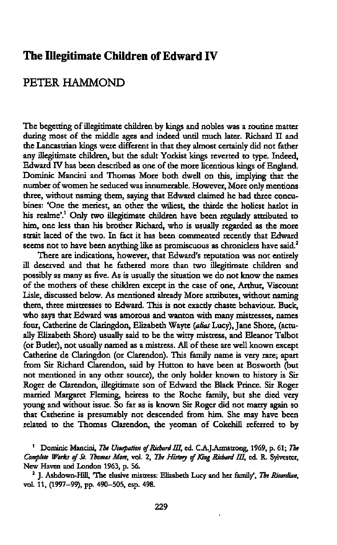## The **Illegitimate Children** of **Edward** IV

## PETER HAMMOND

The begetting of illegitimate children by **kings** and nobles was **a** routine matter during **most** of the middle ages and indeed **until** much later. Richard II and the Lancastrian kings were different in **that** they almost certainly did not father any illegitimate children, but the adult Yorkist kings reverted to type. Indeed, Edward IV has been described as one of the more licentious kings of England. Dominic **Mancini** and Thomas More **both**dwell on this, implying that the number of women he seduced was innumerable. However, More only mentions three, without **naming** them, saying that Edward claimed he had **three concu**bines: 'One the meriest, an **other** the wiliest, the thirde the holiest harlot in his realme'.<sup>1</sup> Only two illegitimate children have been regularly attributed to **him,** one less than his brother **Richard,** who is usually regarded as the more strait laced of the two. In fact it has been commented recently that Edward seems not to **have been** anything like as **promiscuous**as chroniclers have said.2

There are indications, however, **that** Edward's reputation was not entirely ill deserved and that he fathered more than two illegitimate children and possibly as many as five. As is usually the situation we do not know the names of the mothers of **these** children except in the case of one, **Arthur,** Viscount Lisle, discussed below. As mentioned already More attributes, without naming them, three mistresses to Edward. This is not exactly chaste behaviour. Buck, who says that Edward was amorous and wanton with many mistresses, names four, Catherine de Claringdon, Elizabeth Wayte *(alias* Lucy), Jane **Shore,** (actu ally Elizabeth Shore) usually said to be the witty **mistress,** and Eleanor Talbot (or Butler), not usually named as **a** mistress. All of these are well known except Catherine de Claringdon (or Clarendon). This family name is very rare; apart from Sir Richard Clarendon, said by Hutton to have been at Bosworth (but not mentioned in any **other** source), the only holder known to history is Sir Roger de Clarendon, illegitimate son of Edward the Black Prince. Sir Roger married Margaret Fleming, heiress to the Roche family, but she died very young and without issue. So far as is known Sir Roger did not marry again so **that** Catherine is presumably not descended **from**him. She may have been related to the Thomas Clarendon, the yeoman of Cokehill referred to by

<sup>&</sup>lt;sup>1</sup> Dominic Mancini, The Usurpation of Richard III, ed. C.A.J.Armstrong, 1969, p. 61; The Complete Works of St. Thomas More, vol. 2, The History of King Richard III, ed. R. Sylvester, New Haven and London **1963,** p. 56.

**<sup>2</sup>** J. Ashdown-Hill, **'The** elusive mistress: Elizabeth Lucy and her family', The *Rimrdian,* vol. 11, **(1997—99),** pp. 490—505, **esp.** 498.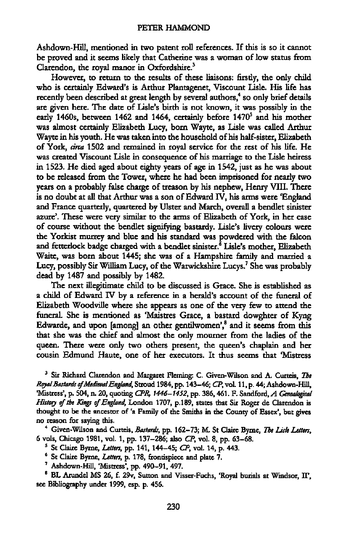Ashdown-Hill, mentioned in two patent roll references. If this is so it **cannot** be **proved** and it seems likely that Catherine was a woman of low **status** from Clarendon, the royal manor in Oxfordshire.'

However, to **return** to the results of these **liaisons:** firstly, the only child who is certainly Edward's is **Arthux** Plantagenet, Viscount Lisle. His life has recently been described at great length by several authors,<sup>4</sup> so only brief details are given here. The date of Lisle's **birth** is not **known,** it was possibly in the early 1460s, between 1462 and 1464, certainly before 1470<sup>5</sup> and his mother was almost certainly Elizabeth Lucy, born Wayte, as Lisle was called Arthur Wayte in his youth. He was taken **into** the household of his half-sister, Elizabeth of York, *circa* 1502 and remained in royal service for the rest of his life. He was created Viscount Lisle in consequence of his marriage to the Lisle heiress in **1523.** He died aged about eighty years of age in 1542, **just** as he was about to be released from the Tower, where he had been imprisoned for nearly two years on **a** probably false charge of treason by his nephew, Henry VIII. There is no doubt at all that **Arthur** was a son of Edward IV, his arms were **'England** and France quarterly, quartered by Ulster and March, overall **a** bendlet sinister **azuxe'. These were** very similar to the arms of Elizabeth of York, in her case of **course**without the bendlet signifying bastardy. Lisle's livery colours were the Yorkist murrey and blue and his standard was powdered with the falcon and fetterlock badge charged with a bendlet sinister.<sup>8</sup> Lisle's mother, Elizabeth **Waite,** was born about 1445; she was of a Hampshire family and married a Lucy, possibly Sir William Lucy, of the Warwickshire Lucys.<sup>7</sup> She was probably dead by 1487 and possibly by 1482.

The next illegitimate child to be discussed is Grace. She is established as **a** child of Edward IV by a reference in a herald's account of the funeral of Elizabeth Woodville where she appears as one of the very few to attend the **funeral.** She is mentioned as **'Maistres** Grace, **a** bastard dowghter of Kyng Edwarde, and upon [among] an other gentilwomen',<sup>8</sup> and it seems from this that she was the chief and almost the only mourner from the ladies of the queen. There were only two others present, the queen's chaplain and her cousin Edmund Haute, one of her executors. It **thus**seems that 'Mistress

<sup>3</sup> Sir Richard Clarendon and Margaret Fleming: C. Given-Wilson and A. Curteis, *The* Royal Bastards of Medieval England, Stroud 1984, pp. 143-46; CP, vol. 11, p. 44; Ashdown-Hill, **'Mistress',** p. **504,** n. 20, quoting *CPR,* **1446—1452,** pp. 386, 461. F. Sandford, *A* Genealogical History of the Kings of England, London 1707, p.189, states that Sir Roger de Clarendon is thought to be the ancestor of 'a Family of the **Smiths** in the County of Essex', but gives no **reason** for saying this.

<sup>4</sup> Given-Wilson and Curteis, *Bastards*, pp. 162-73; M. St Claire Byrne, The Lisle Letters, 6 **vols,** Chicago 1981, vol. 1, pp. 137—286; also CP, vol. 8, pp. **63—68.**

**5** St Claire Byme, *Lettm,* pp. **141, 144—45;** CP, vol. 14, p. 443.

**6** St Claire Byme, *Lafim,* p. 178, frondspiece and plate 7.

**7** Ashdown-Hill, **'Misttess',** pp. 490—91, 497.

<sup>8</sup> BL Arundel MS 26, f. 29v, Sutton and Visser-Fuchs, 'Royal burials at Windsor, II', see Bibliography under **1999,** esp. p. **456.**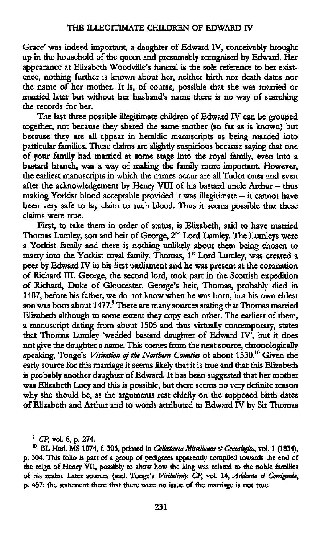Grace' was indeed important, a daughter of Edward IV, conceivably **brought** up in the household of the queen and presumably recognised by Edward. Her appearance at Elizabeth Woodville's funeral is the sole reference to her existence, **nothing** further is known about her, neither **birth**nor death dates nor the name of her mother. It is, of **course,** possible that she was married or married **later** but without her husband's name there is no way of searching the records for her.

The **last** three possible illegitimate children of Edward IV can be grouped together, not because they shared the same mother (so far as is known) but because they are all appear in heraldic manuscripts as being married **into** pardculax families. **These** claims are slightly suspicious because saying **that** one of your family had married at some stage into the royal family, even into **a** bastard branch, was **a** way of making the family more important. However, the earliest manuscripts in which the names **occur** are all Tudor ones and even after the acknowledgement by Henry VIII of his bastard uncle Arthur — thus **making** Yorkist blood acceptable provided it was illegitimate *—* it cannot have been very safe to lay claim to **such** blood. Thus it seems possible that these claims **were true.**

First, to take them in order of status, is Elizabeth, said to **have** married Thomas Lumley, son and **heir** of George, 2nd **Lord**Lumley. The Lumleys were **a Yorkist** family and there is nothing unlikely **about** them being chosen to marry into the Yorkist royal family. Thomas, 1<sup>st</sup> Lord Lumley, was created a peer by Edward IV in his **first** parliament and he was present at the coronation of Richard III. George, the second lord, took part in the Scottish expedition of Richard, Duke of **Gloucester.** George's heir, **Thomas,** probably died in 1487, before his father; we do not know when he was **born,** but his own eldest son was born about 1477.<sup>9</sup> There are many sources stating that Thomas married Elizabeth **although** to some extent they copy each other. The earliest of them, a manuscript dating **from**about **1505**and thus virtually contemporary, states that **Thomas** Lumley 'wedded bastard **daughter** of Edward IV', but it does not give the daughter a name. **This**comes **from**the next source, chronologically speaking, Tonge's Visitation of the Northern Counties of about 1530.<sup>10</sup> Given the early source for this marriage it seems likely that it is true and that this Elizabeth is probably another daughter of **Edward.** It has been **suggested that** her mother was Elizabeth Lucy and this is possible, but there seems no very definite reason why she should be, as the arguments rest chiefly on the supposed birth **dates** of Elizabeth and **Arthux** and to words attributed to Edward IV by Sir Thomas

**9** CP, **vol.** 8, p. **274.**

<sup>10</sup> BL Harl. MS 1074, f. 306, printed in *Collectanea Miscellanea et Genealogica*, vol. 1 (1834), p. 304. This folio is **part** of **a** group of pedigrees apparently compiled towards the end of the reign of Henry **VII,** possibly to show how the king was related to the noble families of his realm. Later **sources** (incl. Tonge's Vixitalion): CP, vol. 14, *Addenda* et *Comgenda,* p. 457; the statement there **that** there were no issue of the marriage is not true.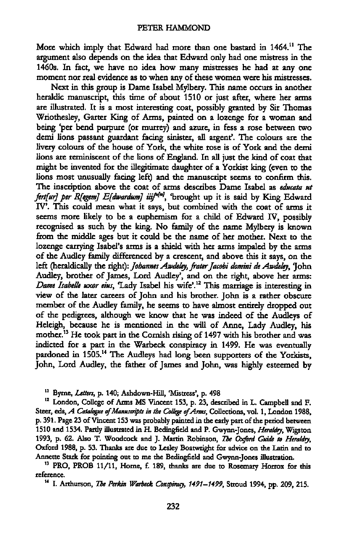**More** which imply **that** Edward had more **than** one bastard in 1464." The argument also depends on the idea that Edward only had one mistress in the 14605. In fact, we **have** no idea how many mistresses he had at any one moment nor real evidence as to when any of these women were his mistresses.

Next in this group is Dame Isabel Mylbery. **This** name **occuxs** in another heraldic manuscript, **this** time of about **1510**or **just** after, where her arms are illustrated. It is a **most** interesting **coat,** possibly granted by Sir **Thomas** Wriothesley, Garter King of Arms, painted on **a** lozenge for a woman and being 'per bend **purpure**(or murrey) and azure, in fess **a** rose between two demi lions passant guardant facing **sinister,** all argent'. The colours are the livery colours of the **house** of York, the white rose is of York and the derni lions are reminiscent of the lions of England. In all just the kind of **coat** that might be invented for the illegitimate daughter of a **Yorkist** king (even to the lions **most** unusually **facing** left) and the manuscript seems to confirm this. The inscription **above** the coat of arms describes Dame Isabel as educata at fert[ur] per *R[egem] E[dwardum] iiij<sup>u[m]</sup>*, 'brought up it is said by King Edward **IV'. This** could **mean** what it says, but combined with the **coat** of arms it seems more likely to be**<sup>a</sup>** euphemism for **a** child of Edward IV, possibly recognised as **such** by the king. No family of the name Mylbery is known **from**the middle ages but it could be the name of her mother. Next to the lozenge carrying Isabel's arms is **a** shield with her arms impaled by the arms of the Audley family differenced by **a** crescent, and above this it says, on the left (heraldically the right): *Johannes Awdeley*, frater Jacobi domini de Awdeley, <sup>7</sup>Ohn Audley, brother of James, Lord Audley', and on the right, above her arms: *Dame Isabelle uxor eius*, 'Lady Isabel his wife'.<sup>12</sup> This marriage is interesting in view of the later careers of John and his brother. John is **a** rather obscure member of the Audley family, he seems to have almost entirely dropped out of the pedigrees, although we know **that** he was indeed of the Audleys of Heleigh, because he is **mentioned** in the will of Anne, Lady Audley, his mother.13 He took part in the Cornish rising of **1497** with his brother and was indicted for**<sup>a</sup>** part in the Warbeck conspiracy in 1499. He was eventually pardoned in 1505.14 The Audleys had long been supporters of the **Yorkists,** John, Lord Audley, the father of James and John, was highly esteemed by

" Byme, Letters, p. **140; Ashdown-Hill, 'Misttess',** p. 498

'2 London, College of **Arms**MS **Vincent** 153, p. 23, described in L. Campbell and F. Steer, eds, *A Catalogue of Manuscripts in the College of Arms*, Collections, vol. 1, London 1988, p. 391. Page 23 of Vincent 153 was probably painted in the early part of the period between **1510** and 1534. **Partly** illustrated in H. Bedingfield and P. Gwynn—Jones, *Hera/(lg,* Wigston **1993,** p. 62. Also T. **Woodcock** and J. **Martin Robinson,** 1715 *Oxford Guide* to *Hera/do,* Oxford 1988, p. 53. **Thanks** are due to Lesley Boatwright for advice on the **Latin** and to **Annette Stark** for pointing out to me the Bedingfield and Gwynn-Jones illustration.

'3 PRO, PROB 11/11, Home, E. 189, **thanks** are due to Rosemary **Horrox** for this reference.

<sup>14</sup> I. Arthurson, *The Perkin Warbeck Conspirasy*, 1491-1499, Stroud 1994, pp. 209, 215.